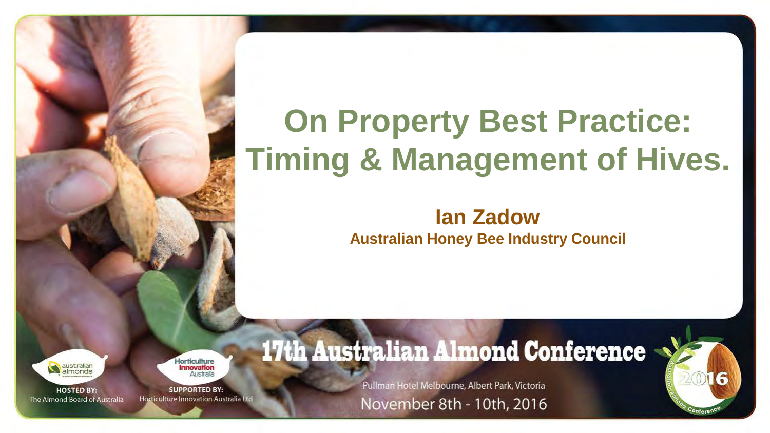#### **On Property Best Practice: Timing & Management of Hives.**

#### **Ian Zadow Australian Honey Bee Industry Council**

**HOSTED BY:** The Almond Board of Australia **lorticulture** nnovation

**SUPPORTED BY:** Horticulture Innovation Australia Lto **17th Australian Almond Conference** 

Pullman Hotel Melbourne, Albert Park, Victoria November 8th - 10th, 2016

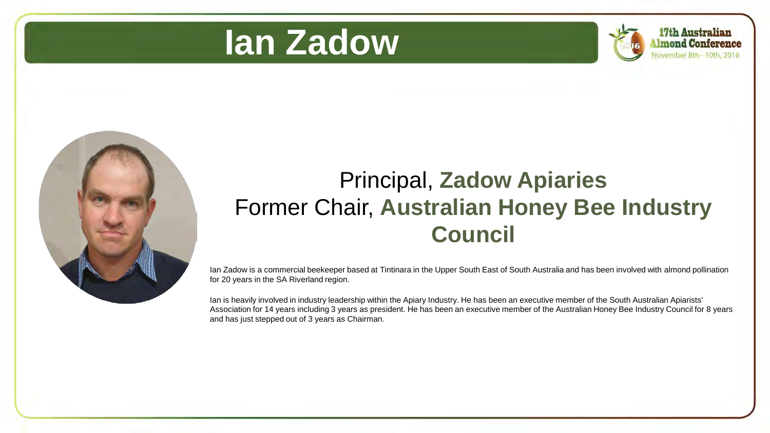



17th Australian Imond Conference



#### Principal, **Zadow Apiaries** Former Chair, **Australian Honey Bee Industry Council**

Ian Zadow is a commercial beekeeper based at Tintinara in the Upper South East of South Australia and has been involved with almond pollination for 20 years in the SA Riverland region.

Ian is heavily involved in industry leadership within the Apiary Industry. He has been an executive member of the South Australian Apiarists' Association for 14 years including 3 years as president. He has been an executive member of the Australian Honey Bee Industry Council for 8 years and has just stepped out of 3 years as Chairman.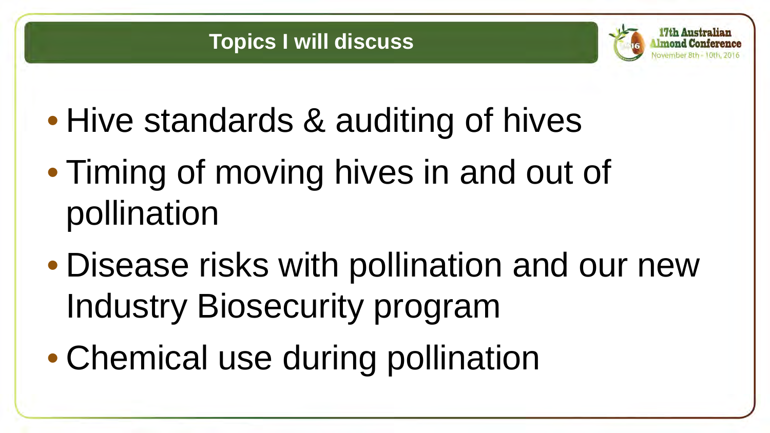





- Hive standards & auditing of hives
- Timing of moving hives in and out of pollination
- Disease risks with pollination and our new Industry Biosecurity program
- Chemical use during pollination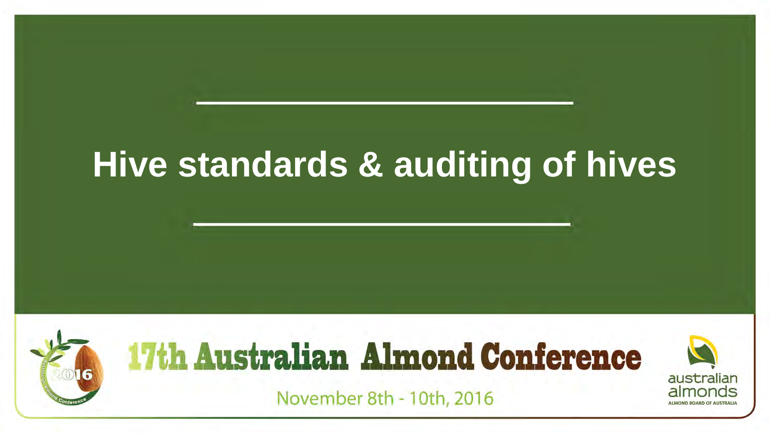#### **Hive standards & auditing of hives**

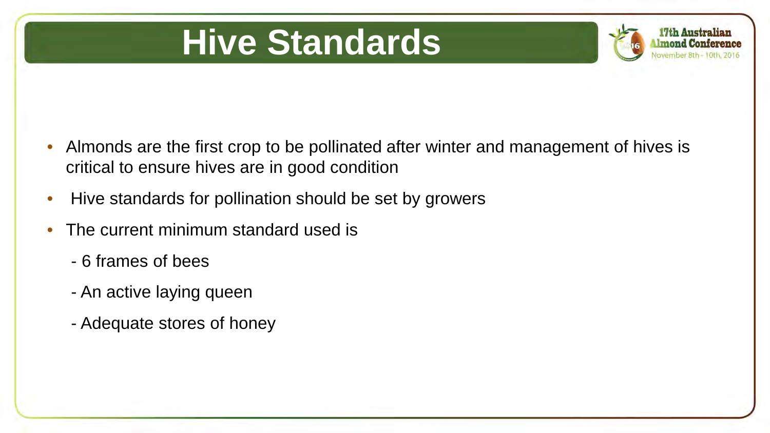#### **Hive Standards**



- Almonds are the first crop to be pollinated after winter and management of hives is critical to ensure hives are in good condition
- Hive standards for pollination should be set by growers
- The current minimum standard used is
	- 6 frames of bees
	- An active laying queen
	- Adequate stores of honey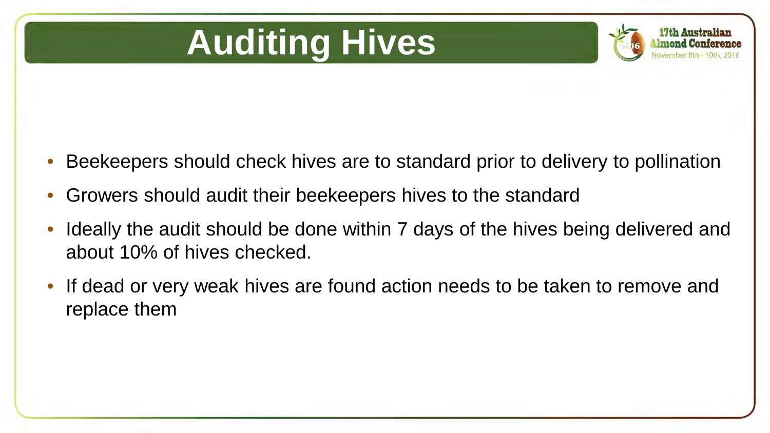# **Auditing Hives**



- Beekeepers should check hives are to standard prior to delivery to pollination
- Growers should audit their beekeepers hives to the standard
- Ideally the audit should be done within 7 days of the hives being delivered and about 10% of hives checked.
- If dead or very weak hives are found action needs to be taken to remove and replace them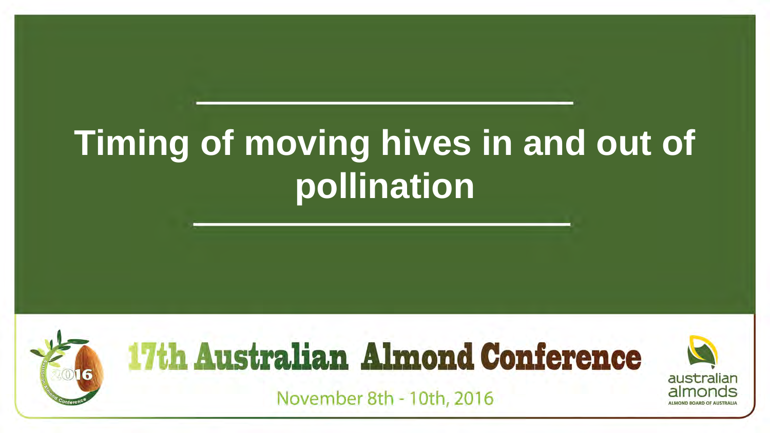# **Timing of moving hives in and out of pollination**

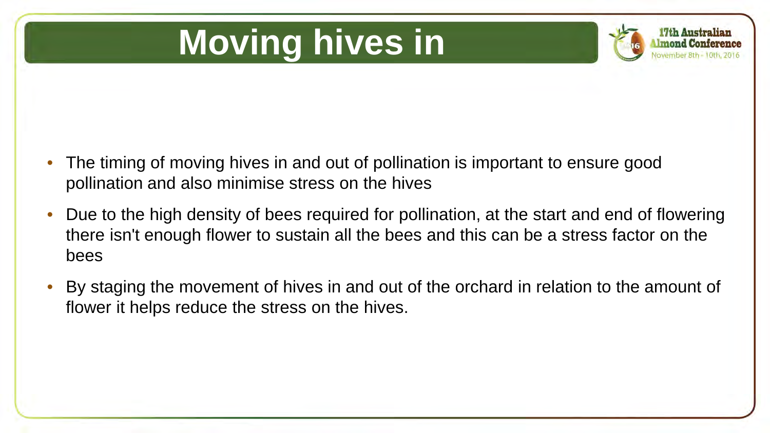# **Moving hives in**



- The timing of moving hives in and out of pollination is important to ensure good pollination and also minimise stress on the hives
- Due to the high density of bees required for pollination, at the start and end of flowering there isn't enough flower to sustain all the bees and this can be a stress factor on the bees
- By staging the movement of hives in and out of the orchard in relation to the amount of flower it helps reduce the stress on the hives.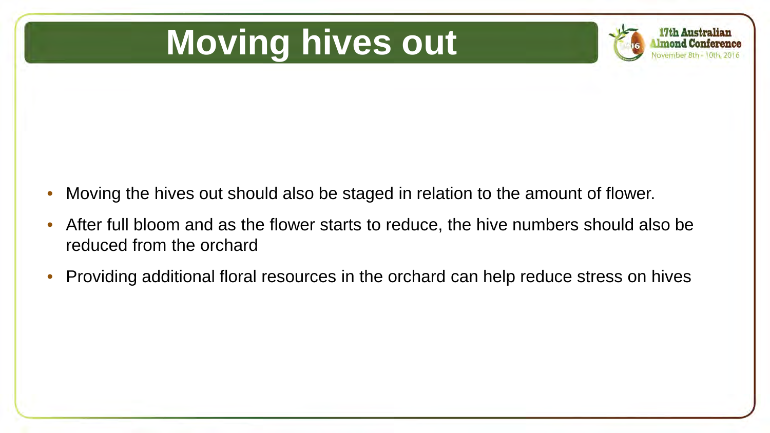#### **Moving hives out**



- Moving the hives out should also be staged in relation to the amount of flower.
- After full bloom and as the flower starts to reduce, the hive numbers should also be reduced from the orchard
- Providing additional floral resources in the orchard can help reduce stress on hives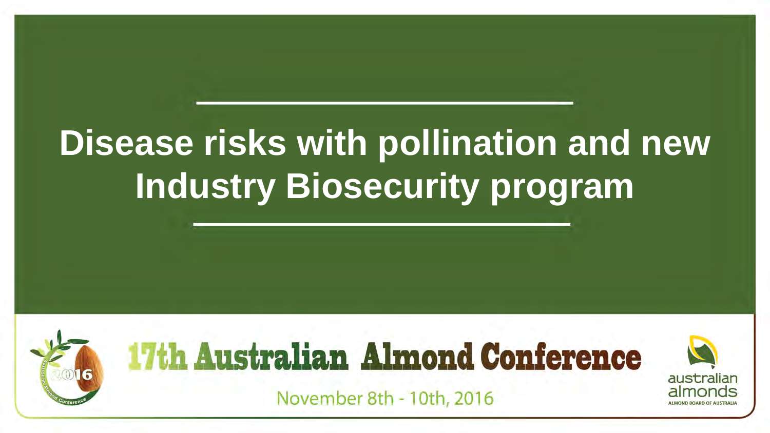## **Disease risks with pollination and new Industry Biosecurity program**

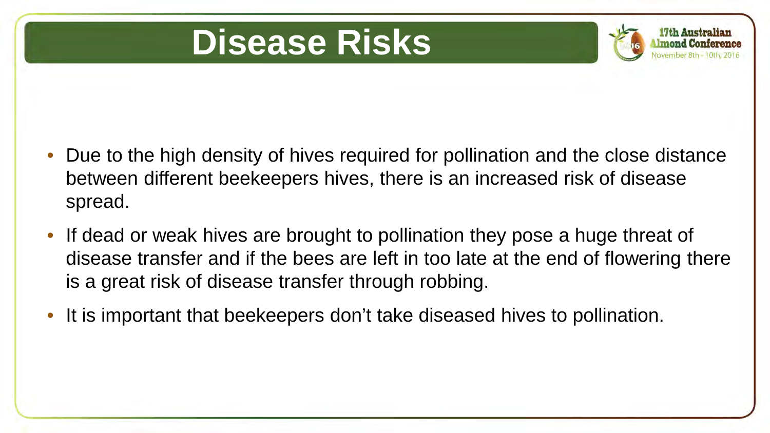#### **Disease Risks**



- Due to the high density of hives required for pollination and the close distance between different beekeepers hives, there is an increased risk of disease spread.
- If dead or weak hives are brought to pollination they pose a huge threat of disease transfer and if the bees are left in too late at the end of flowering there is a great risk of disease transfer through robbing.
- It is important that beekeepers don't take diseased hives to pollination.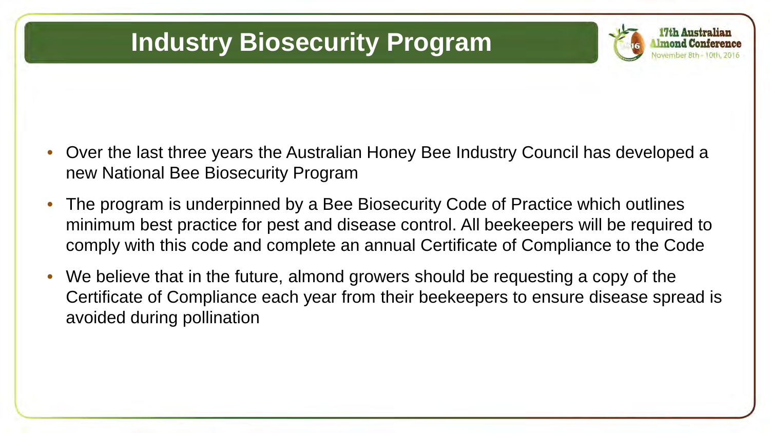#### **Industry Biosecurity Program**

- Over the last three years the Australian Honey Bee Industry Council has developed a new National Bee Biosecurity Program
- The program is underpinned by a Bee Biosecurity Code of Practice which outlines minimum best practice for pest and disease control. All beekeepers will be required to comply with this code and complete an annual Certificate of Compliance to the Code
- We believe that in the future, almond growers should be requesting a copy of the Certificate of Compliance each year from their beekeepers to ensure disease spread is avoided during pollination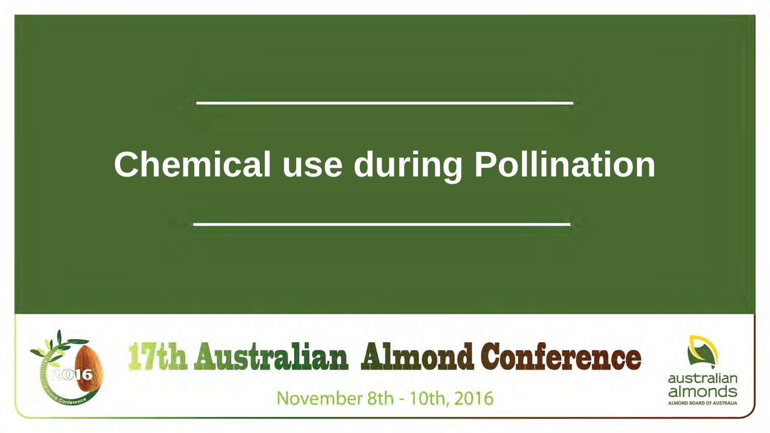#### **Chemical use during Pollination**

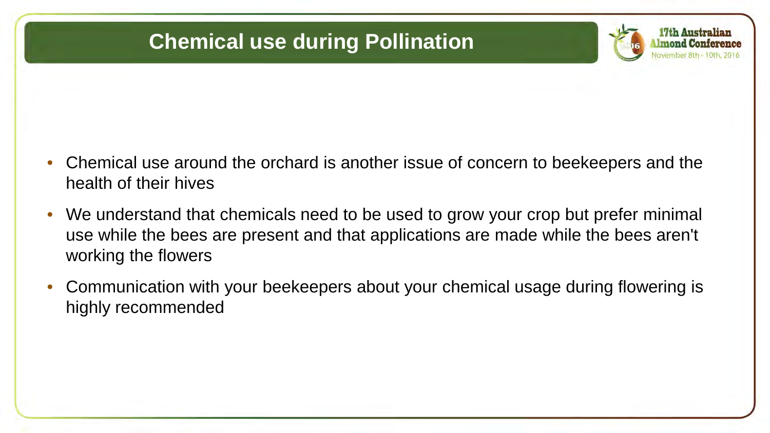#### **Chemical use during Pollination**



- Chemical use around the orchard is another issue of concern to beekeepers and the health of their hives
- We understand that chemicals need to be used to grow your crop but prefer minimal use while the bees are present and that applications are made while the bees aren't working the flowers
- Communication with your beekeepers about your chemical usage during flowering is highly recommended